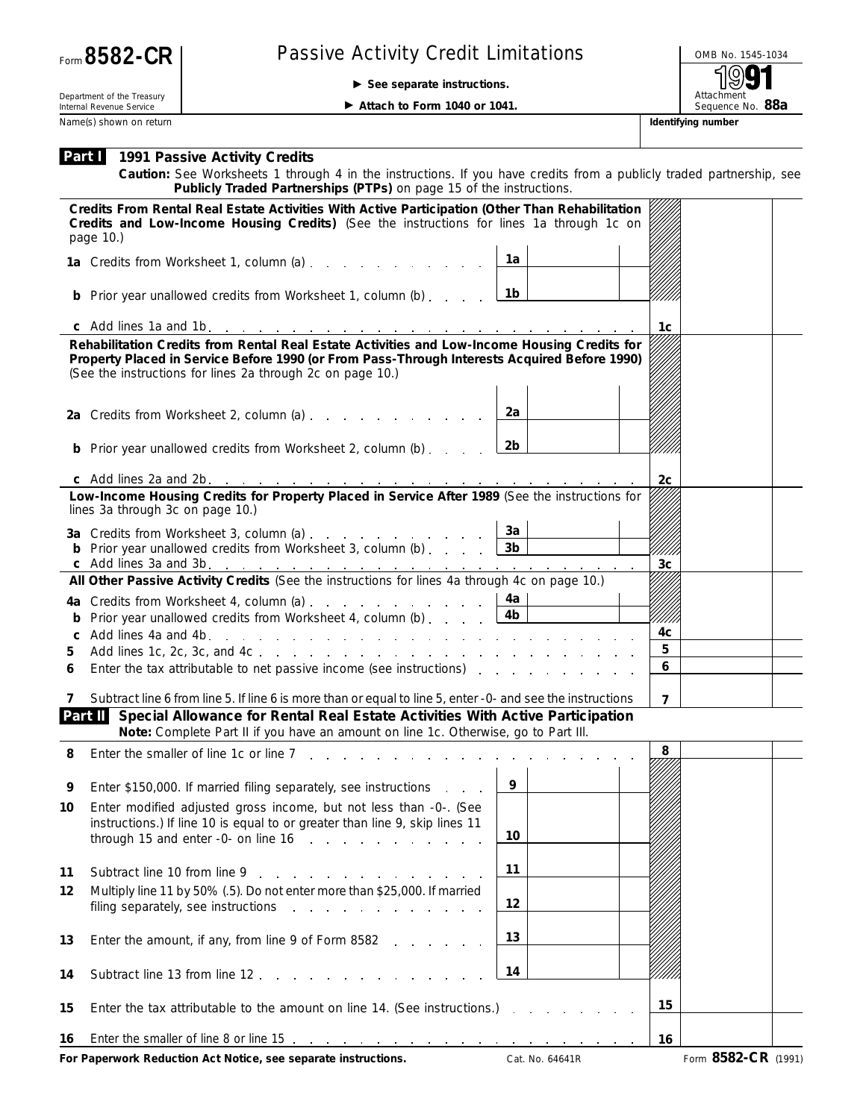## Passive Activity Credit Limitations **DEPAID No. 1545-1034**

© **See separate instructions.**

Attachment<br>Sequence No. 88a

Department of the Treasury Internal Revenue Service

▶ Attach to Form 1040 or 1041.

Name(s) shown on return **Identifying number Identifying number** 

| Part I I |  | 1991 Passive Activity Credits |  |  |
|----------|--|-------------------------------|--|--|
|----------|--|-------------------------------|--|--|

**Caution:** *See Worksheets 1 through 4 in the instructions. If you have credits from a publicly traded partnership, see Publicly Traded Partnerships (PTPs) on page 15 of the instructions.*

| Credits From Rental Real Estate Activities With Active Participation (Other Than Rehabilitation<br>Credits and Low-Income Housing Credits) (See the instructions for lines 1a through 1c on<br>page 10.) |                |                  |  |  |  |
|----------------------------------------------------------------------------------------------------------------------------------------------------------------------------------------------------------|----------------|------------------|--|--|--|
| 1a Credits from Worksheet 1, column (a) [14] Credits from Worksheet 1, column (a)                                                                                                                        | 1а             |                  |  |  |  |
| <b>b</b> Prior year unallowed credits from Worksheet 1, column (b) $\ldots$ $\boxed{1b}$                                                                                                                 |                |                  |  |  |  |
|                                                                                                                                                                                                          |                | 1c               |  |  |  |
| Rehabilitation Credits from Rental Real Estate Activities and Low-Income Housing Credits for                                                                                                             |                |                  |  |  |  |
| Property Placed in Service Before 1990 (or From Pass-Through Interests Acquired Before 1990)<br>(See the instructions for lines 2a through 2c on page 10.)                                               |                |                  |  |  |  |
| 2a Credits from Worksheet 2, column (a)                                                                                                                                                                  | 2a             |                  |  |  |  |
| <b>b</b> Prior year unallowed credits from Worksheet 2, column (b) $\ldots$ $2b$                                                                                                                         |                |                  |  |  |  |
|                                                                                                                                                                                                          |                | 2c               |  |  |  |
| Low-Income Housing Credits for Property Placed in Service After 1989 (See the instructions for<br>lines 3a through 3c on page 10.)                                                                       |                |                  |  |  |  |
| 3a Credits from Worksheet 3, column (a)                                                                                                                                                                  | 3a             |                  |  |  |  |
| <b>b</b> Prior year unallowed credits from Worksheet 3, column (b) $\ldots$ $\begin{array}{ccc} 3b & 3b \end{array}$                                                                                     |                |                  |  |  |  |
|                                                                                                                                                                                                          |                | 3 <sub>c</sub>   |  |  |  |
| All Other Passive Activity Credits (See the instructions for lines 4a through 4c on page 10.)                                                                                                            |                |                  |  |  |  |
| 4a Credits from Worksheet 4, column (a) $\ldots$ $\ldots$ $\ldots$ $\ldots$ $\lfloor$ 4a                                                                                                                 |                |                  |  |  |  |
| <b>b</b> Prior year unallowed credits from Worksheet 4, column (b) $\overline{4b}$                                                                                                                       |                | 4c               |  |  |  |
| 5                                                                                                                                                                                                        |                | 5                |  |  |  |
| Enter the tax attributable to net passive income (see instructions)<br>6                                                                                                                                 |                | $\boldsymbol{6}$ |  |  |  |
|                                                                                                                                                                                                          |                |                  |  |  |  |
| Subtract line 6 from line 5. If line 6 is more than or equal to line 5, enter -0- and see the instructions<br>7                                                                                          |                | $\overline{7}$   |  |  |  |
| Part II Special Allowance for Rental Real Estate Activities With Active Participation<br>Note: Complete Part II if you have an amount on line 1c. Otherwise, go to Part III.                             |                |                  |  |  |  |
| Enter the smaller of line 1c or line 7, p. p. p. p. p. p. p. p. p.<br>8                                                                                                                                  |                | 8                |  |  |  |
| Enter \$150,000. If married filing separately, see instructions<br>9                                                                                                                                     | $\overline{9}$ |                  |  |  |  |
| Enter modified adjusted gross income, but not less than -0-. (See<br>10<br>instructions.) If line 10 is equal to or greater than line 9, skip lines 11                                                   |                |                  |  |  |  |
| through 15 and enter $-0$ - on line $16$                                                                                                                                                                 | 10             |                  |  |  |  |
|                                                                                                                                                                                                          | 11             |                  |  |  |  |
| 11<br>Subtract line 10 from line 9<br>and the company of the company of the                                                                                                                              |                |                  |  |  |  |
| Multiply line 11 by 50% (.5). Do not enter more than \$25,000. If married<br>12<br>filing separately, see instructions<br>and a state of the contract of the con-                                        | 12             |                  |  |  |  |
|                                                                                                                                                                                                          |                |                  |  |  |  |
| 13<br>Enter the amount, if any, from line 9 of Form 8582                                                                                                                                                 | 13             |                  |  |  |  |
| Subtract line 13 from line 12.<br>14                                                                                                                                                                     | 14             |                  |  |  |  |
|                                                                                                                                                                                                          |                |                  |  |  |  |
| 15<br>Enter the tax attributable to the amount on line 14. (See instructions.)                                                                                                                           |                | 15               |  |  |  |
| 16                                                                                                                                                                                                       |                | 16               |  |  |  |

**For Paperwork Reduction Act Notice, see separate instructions.** Cat. No. 64641R Form 8582-CR (1991)